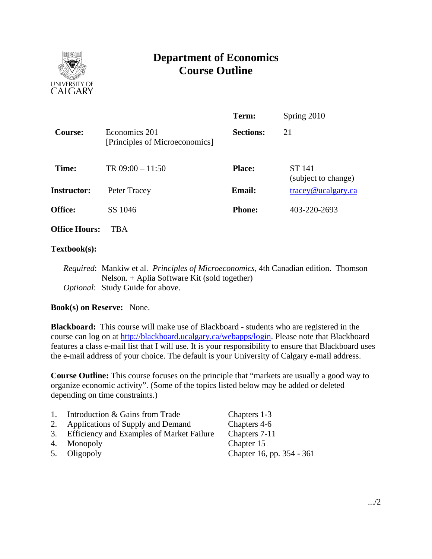

# **Department of Economics Course Outline**

|                      |                                                 | Term:            | Spring 2010                   |
|----------------------|-------------------------------------------------|------------------|-------------------------------|
| Course:              | Economics 201<br>[Principles of Microeconomics] | <b>Sections:</b> | 21                            |
| Time:                | TR $09:00 - 11:50$                              | <b>Place:</b>    | ST 141<br>(subject to change) |
| <b>Instructor:</b>   | Peter Tracey                                    | <b>Email:</b>    | $trace$ y@ucalgary.ca         |
| Office:              | SS 1046                                         | <b>Phone:</b>    | 403-220-2693                  |
| <b>Office Hours:</b> | <b>TBA</b>                                      |                  |                               |

# **Textbook(s):**

*Required*: Mankiw et al. *Principles of Microeconomics*, 4th Canadian edition. Thomson Nelson. + Aplia Software Kit (sold together) *Optional*: Study Guide for above.

#### **Book(s) on Reserve:** None.

**Blackboard:** This course will make use of Blackboard - students who are registered in the course can log on at http://blackboard.ucalgary.ca/webapps/login. Please note that Blackboard features a class e-mail list that I will use. It is your responsibility to ensure that Blackboard uses the e-mail address of your choice. The default is your University of Calgary e-mail address.

**Course Outline:** This course focuses on the principle that "markets are usually a good way to organize economic activity". (Some of the topics listed below may be added or deleted depending on time constraints.)

| 1. | Introduction & Gains from Trade              | Chapters 1-3              |
|----|----------------------------------------------|---------------------------|
|    | 2. Applications of Supply and Demand         | Chapters 4-6              |
|    | 3. Efficiency and Examples of Market Failure | Chapters 7-11             |
|    | 4. Monopoly                                  | Chapter 15                |
|    | 5. Oligopoly                                 | Chapter 16, pp. 354 - 361 |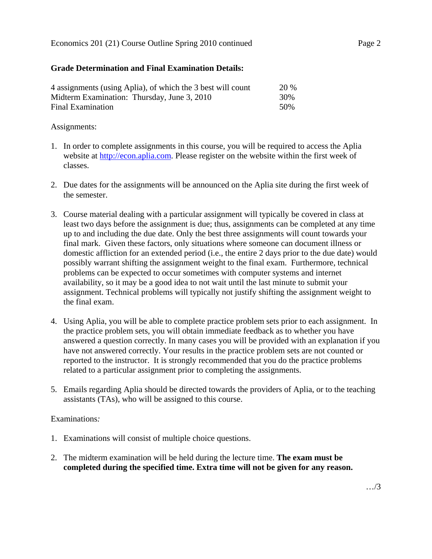### Economics 201 (21) Course Outline Spring 2010 continued Page 2

# **Grade Determination and Final Examination Details:**

| 4 assignments (using Aplia), of which the 3 best will count | 20 % |
|-------------------------------------------------------------|------|
| Midterm Examination: Thursday, June 3, 2010                 | 30%  |
| Final Examination                                           | 50%  |

### Assignments:

- 1. In order to complete assignments in this course, you will be required to access the Aplia website at http://econ.aplia.com. Please register on the website within the first week of classes.
- 2. Due dates for the assignments will be announced on the Aplia site during the first week of the semester.
- 3. Course material dealing with a particular assignment will typically be covered in class at least two days before the assignment is due; thus, assignments can be completed at any time up to and including the due date. Only the best three assignments will count towards your final mark. Given these factors, only situations where someone can document illness or domestic affliction for an extended period (i.e., the entire 2 days prior to the due date) would possibly warrant shifting the assignment weight to the final exam. Furthermore, technical problems can be expected to occur sometimes with computer systems and internet availability, so it may be a good idea to not wait until the last minute to submit your assignment. Technical problems will typically not justify shifting the assignment weight to the final exam.
- 4. Using Aplia, you will be able to complete practice problem sets prior to each assignment. In the practice problem sets, you will obtain immediate feedback as to whether you have answered a question correctly. In many cases you will be provided with an explanation if you have not answered correctly. Your results in the practice problem sets are not counted or reported to the instructor. It is strongly recommended that you do the practice problems related to a particular assignment prior to completing the assignments.
- 5. Emails regarding Aplia should be directed towards the providers of Aplia, or to the teaching assistants (TAs), who will be assigned to this course.

#### Examinations*:*

- 1. Examinations will consist of multiple choice questions.
- 2. The midterm examination will be held during the lecture time. **The exam must be completed during the specified time. Extra time will not be given for any reason.**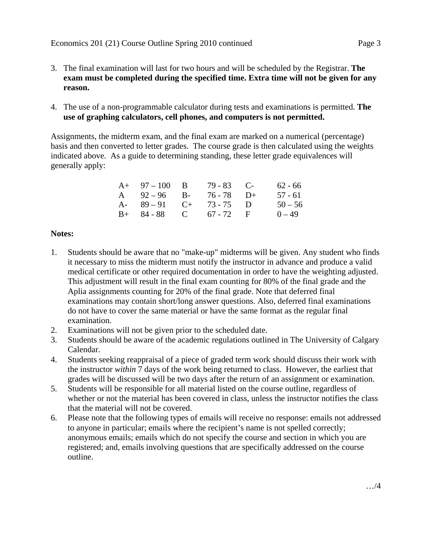- 3. The final examination will last for two hours and will be scheduled by the Registrar. **The exam must be completed during the specified time. Extra time will not be given for any reason.**
- 4. The use of a non-programmable calculator during tests and examinations is permitted. **The use of graphing calculators, cell phones, and computers is not permitted.**

Assignments, the midterm exam, and the final exam are marked on a numerical (percentage) basis and then converted to letter grades. The course grade is then calculated using the weights indicated above. As a guide to determining standing, these letter grade equivalences will generally apply:

| $A+ 97-100 B$           | $79 - 83$ C- | $62 - 66$ |
|-------------------------|--------------|-----------|
| A $92-96$ B- $76-78$ D+ |              | 57 - 61   |
| A- $89-91$ C+ $73-75$ D |              | $50 - 56$ |
| $B+ 84-88$ C 67 - 72 F  |              | $0 - 49$  |

# **Notes:**

- 1. Students should be aware that no "make-up" midterms will be given. Any student who finds it necessary to miss the midterm must notify the instructor in advance and produce a valid medical certificate or other required documentation in order to have the weighting adjusted. This adjustment will result in the final exam counting for 80% of the final grade and the Aplia assignments counting for 20% of the final grade. Note that deferred final examinations may contain short/long answer questions. Also, deferred final examinations do not have to cover the same material or have the same format as the regular final examination.
- 2. Examinations will not be given prior to the scheduled date.
- 3. Students should be aware of the academic regulations outlined in The University of Calgary Calendar.
- 4. Students seeking reappraisal of a piece of graded term work should discuss their work with the instructor *within* 7 days of the work being returned to class. However, the earliest that grades will be discussed will be two days after the return of an assignment or examination.
- 5. Students will be responsible for all material listed on the course outline, regardless of whether or not the material has been covered in class, unless the instructor notifies the class that the material will not be covered.
- 6. Please note that the following types of emails will receive no response: emails not addressed to anyone in particular; emails where the recipient's name is not spelled correctly; anonymous emails; emails which do not specify the course and section in which you are registered; and, emails involving questions that are specifically addressed on the course outline.